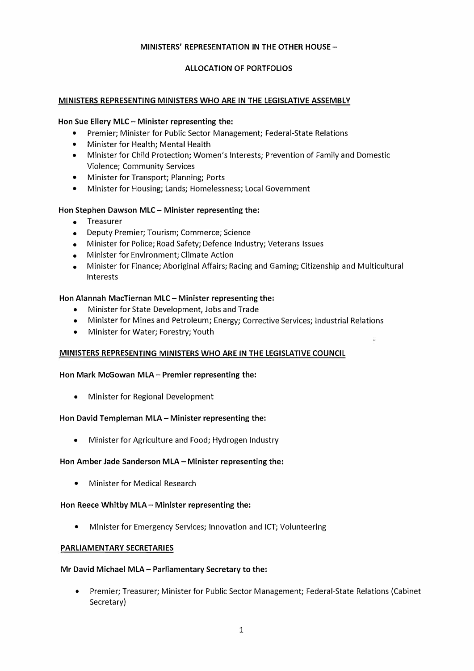## **MINISTERS' REPRESENTATION IN THE OTHER HOUSE-**

# **ALLOCATION OF PORTFOLIOS**

#### **MINISTERS REPRESENTING MINISTERS WHO ARE IN THE LEGISLATIVE ASSEMBLY**

#### **Hon Sue Ellery MLC - Minister representing the:**

- Premier; Minister for Public Sector Management; Federal-State Relations
- Minister for Health; Mental Health
- Minister for Child Protection; Women's Interests; Prevention of Family and Domestic Violence; Community Services
- Minister for Transport; Planning; Ports
- Minister for Housing; Lands; Homelessness; Local Government

#### **Hon Stephen Dawson MLC- Minister representing the:**

- Treasurer
- Deputy Premier; Tourism; Commerce; Science
- Minister for Police; Road Safety; Defence Industry; Veterans Issues
- Minister for Environment; Climate Action
- Minister for Finance; Aboriginal Affairs; Racing and Gaming; Citizenship and Multicultural Interests

#### **Hon Alannah MacTiernan MLC - Minister representing the:**

- Minister for State Development, Jobs and Trade
- Minister for Mines and Petroleum; Energy; Corrective Services; Industrial Relations
- Minister for Water; Forestry; Youth

#### MINISTERS REPRESENTING MINISTERS WHO ARE IN THE LEGISLATIVE COUNCIL

#### **Hon Mark McGowan MLA- Premier representing the:**

• Minister for Regional Development

#### **Hon David Templeman MLA- Minister representing the:**

• Minister for Agriculture and Food; Hydrogen Industry

#### **Hon Amber Jade Sanderson MLA- Minister representing the:**

• Minister for Medical Research

#### **Hon Reece Whitby MLA- Minister representing the:**

• Minister for Emergency Services; Innovation and ICT; Volunteering

#### **PARLIAMENTARY SECRETARIES**

#### **Mr David Michael MLA- Parliamentary Secretary to the:**

• Premier; Treasurer; Minister for Public Sector Management; Federal-State Relations (Cabinet Secretary)